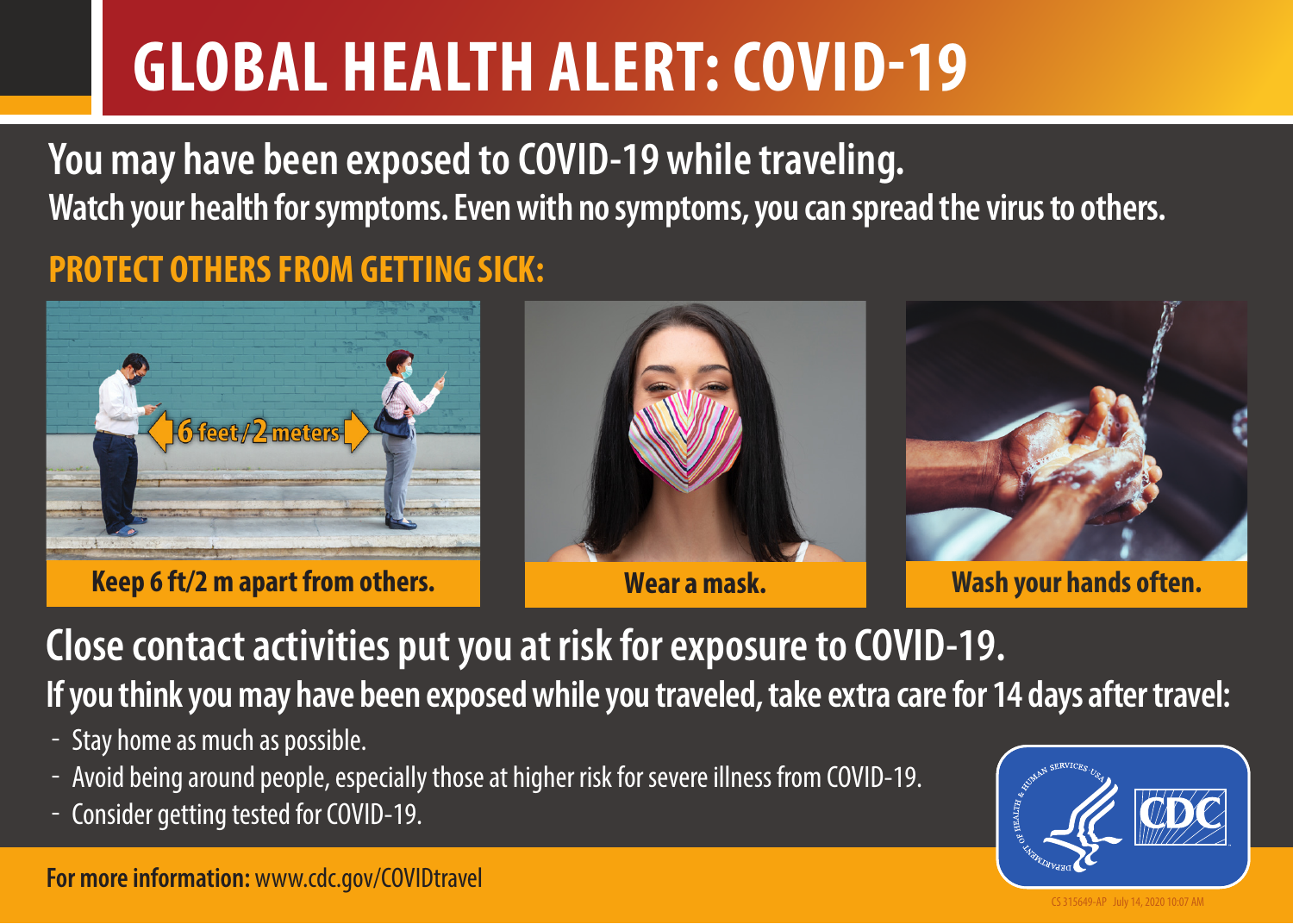## **GLOBAL HEALTH ALERT: COVID-19**

**You may have been exposed to COVID-19 while traveling. Watch your health for symptoms. Even with no symptoms, you can spread the virus to others.** 

## **PROTECT OTHERS FROM GETTING SICK:**



**Keep 6 ft/2 m apart from others. Wear a mask.** 



**Close contact activities put you at risk for exposure to COVID-19. If you think you may have been exposed while you traveled, take extra care for 14 days after travel:** 

- Stay home as much as possible.
- Avoid being around people, especially those at higher risk for severe illness from COVID-19.
- Consider getting tested for COVID-19.